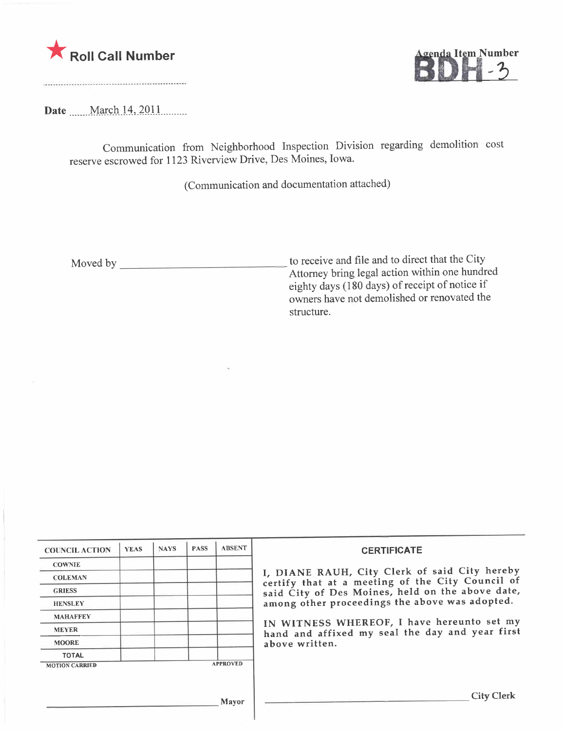



Date \_\_\_\_\_March 14, 2011

Communication from Neighborhood Inspection Division regarding demolition cost reserve escrowed for 1123 Riverview Drive, Des Moines, Iowa.

(Communication and documentation attached)

Moved by to receive and file and to direct that the City Attorney bring legal action within one hundred eighty days (180 days) of receipt of notice if owners have not demolished or renovated the structure.

| <b>COUNCIL ACTION</b> | <b>YEAS</b> | <b>NAYS</b> | <b>PASS</b> | <b>ABSENT</b>   | <b>CERTIFICATE</b>                                                                                                                                                                                                                                                                                                         |
|-----------------------|-------------|-------------|-------------|-----------------|----------------------------------------------------------------------------------------------------------------------------------------------------------------------------------------------------------------------------------------------------------------------------------------------------------------------------|
| <b>COWNIE</b>         |             |             |             |                 |                                                                                                                                                                                                                                                                                                                            |
| <b>COLEMAN</b>        |             |             |             |                 | I, DIANE RAUH, City Clerk of said City hereby<br>certify that at a meeting of the City Council of<br>said City of Des Moines, held on the above date,<br>among other proceedings the above was adopted.<br>IN WITNESS WHEREOF, I have hereunto set my<br>hand and affixed my seal the day and year first<br>above written. |
| <b>GRIESS</b>         |             |             |             |                 |                                                                                                                                                                                                                                                                                                                            |
| <b>HENSLEY</b>        |             |             |             |                 |                                                                                                                                                                                                                                                                                                                            |
| <b>MAHAFFEY</b>       |             |             |             |                 |                                                                                                                                                                                                                                                                                                                            |
| <b>MEYER</b>          |             |             |             |                 |                                                                                                                                                                                                                                                                                                                            |
| <b>MOORE</b>          |             |             |             |                 |                                                                                                                                                                                                                                                                                                                            |
| <b>TOTAL</b>          |             |             |             |                 |                                                                                                                                                                                                                                                                                                                            |
| <b>MOTION CARRIED</b> |             |             |             | <b>APPROVED</b> |                                                                                                                                                                                                                                                                                                                            |
|                       |             |             |             | Mayor           | <b>City Clerk</b>                                                                                                                                                                                                                                                                                                          |